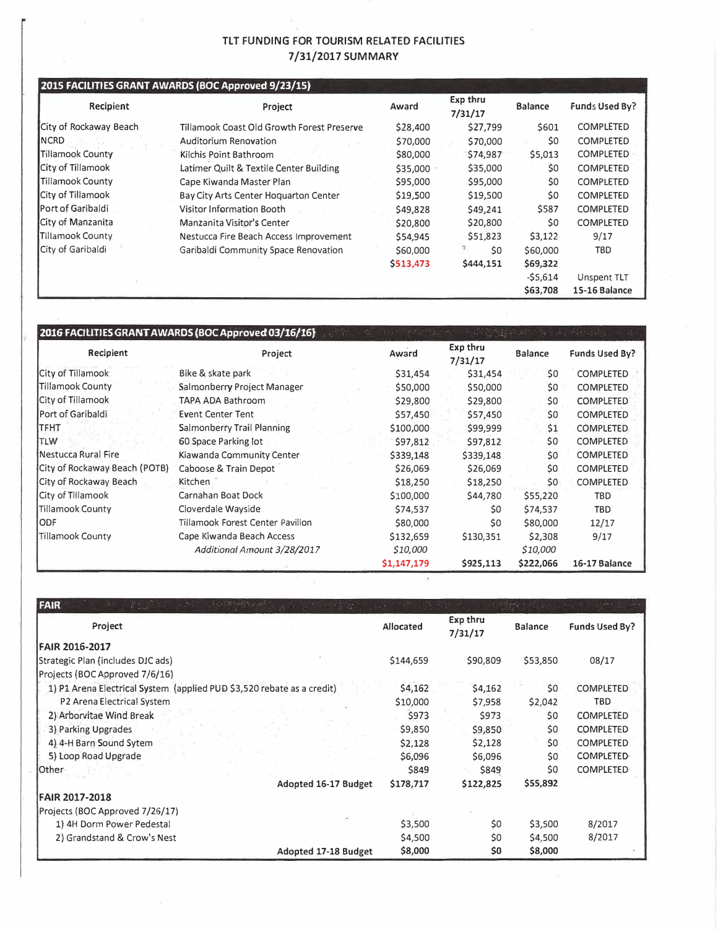### **TLT FUNDING FOR TOURISM RELATED FACILITIES 7/31/2017 SUMMARY**

#### **2015 FACILITIES GRANT AWARDS (BOC Approved 9/23/15)**

| Recipient                 | Project                                    | Award     | Exp thru<br>7/31/17 | <b>Balance</b> | Funds Used By?   |
|---------------------------|--------------------------------------------|-----------|---------------------|----------------|------------------|
| City of Rockaway Beach    | Tillamook Coast Old Growth Forest Preserve | \$28,400  | \$27,799            | \$601          | <b>COMPLETED</b> |
| <b>INCRD</b>              | Auditorium Renovation                      | \$70,000  | \$70,000            | \$0            | COMPLETED        |
| Tillamook County          | Kilchis Point Bathroom                     | \$80,000  | \$74,987            | \$5,013        | <b>COMPLETED</b> |
| <b>City of Tillamook</b>  | Latimer Quilt & Textile Center Building    | \$35,000  | \$35,000            | \$0            | COMPLETED        |
| Tillamook County          | Cape Kiwanda Master Plan                   | \$95,000  | \$95,000            | \$0            | <b>COMPLETED</b> |
| City of Tillamook         | Bay City Arts Center Hoguarton Center      | \$19,500  | \$19,500            | \$0            | COMPLETED        |
| <b>IPort of Garibaldi</b> | Visitor Information Booth                  | \$49,828  | \$49,241            | \$587          | <b>COMPLETED</b> |
| City of Manzanita         | Manzanita Visitor's Center                 | \$20,800  | \$20,800            | \$0            | COMPLETED        |
| Tillamook County          | Nestucca Fire Beach Access Improvement     | \$54,945  | \$51,823            | \$3,122        | 9/17             |
| City of Garibaldi         | Garibaldi Community Space Renovation       | \$60,000  | \$0                 | \$60,000       | <b>TBD</b>       |
|                           |                                            | \$513,473 | \$444,151           | \$69,322       |                  |
|                           |                                            |           |                     | $-55,614$      | Unspent TLT      |
|                           |                                            |           |                     | \$63,708       | 15-16 Balance    |

## **2016 FACIUTIES GRANT AWARDS (BOC Approved 03/16/16}**

| Recipient                     | Project                          | Award       | Exp thru<br>7/31/17 | <b>Balance</b> | Funds Used By?   |
|-------------------------------|----------------------------------|-------------|---------------------|----------------|------------------|
| City of Tillamook             | Bike & skate park                | \$31,454    | \$31,454            | \$0            | <b>COMPLETED</b> |
| Tillamook County              | Salmonberry Project Manager      | \$50,000    | \$50,000            | \$0            | <b>COMPLETED</b> |
| City of Tillamook             | TAPA ADA Bathroom                | \$29,800    | \$29,800            | \$0            | <b>COMPLETED</b> |
| Port of Garibaldi             | <b>Event Center Tent</b>         | \$57,450    | \$57,450            | \$0            | <b>COMPLETED</b> |
| ITFHT                         | Salmonberry Trail Planning       | \$100,000   | \$99,999            | \$1            | <b>COMPLETED</b> |
| TLW                           | 60 Space Parking lot             | \$97,812    | \$97,812            | \$0            | <b>COMPLETED</b> |
| Nestucca Rural Fire           | Kiawanda Community Center        | \$339,148   | \$339,148           | \$0            | <b>COMPLETED</b> |
| City of Rockaway Beach (POTB) | Caboose & Train Depot            | \$26,069    | \$26,069            | \$0            | <b>COMPLETED</b> |
| City of Rockaway Beach        | Kitchen                          | \$18,250    | \$18,250            | \$0            | <b>COMPLETED</b> |
| City of Tillamook             | Carnahan Boat Dock               | \$100,000   | \$44,780            | \$55,220       | <b>TBD</b>       |
| Tillamook County              | Cloverdale Wayside               | \$74,537    | \$0                 | \$74,537       | <b>TBD</b>       |
| <b>ODF</b>                    | Tillamook Forest Center Pavilion | \$80,000    | \$0                 | \$80,000       | 12/17            |
| Tillamook County              | Cape Kiwanda Beach Access        | \$132,659   | \$130,351           | \$2,308        | 9/17             |
|                               | Additional Amount 3/28/2017      | \$10,000    |                     | \$10,000       |                  |
|                               |                                  | \$1,147,179 | \$925,113           | \$222,066      | 16-17 Balance    |

| FAIR<br><b>WELL SAY</b>                                                |           |                     |                |                  |
|------------------------------------------------------------------------|-----------|---------------------|----------------|------------------|
| Project                                                                | Allocated | Exp thru<br>7/31/17 | <b>Balance</b> | Funds Used By?   |
| <b>FAIR 2016-2017</b>                                                  |           |                     |                |                  |
| Strategic Plan (includes DIC ads)                                      | \$144,659 | \$90,809            | \$53,850       | 08/17            |
| Projects (BOC Approved 7/6/16)                                         |           |                     |                |                  |
| 1) P1 Arena Electrical System (applied PUD \$3,520 rebate as a credit) | \$4,162   | \$4,162             | \$0            | <b>COMPLETED</b> |
| P2 Arena Electrical System                                             | \$10,000  | \$7,958             | \$2,042        | TBD              |
| 2) Arborvitae Wind Break                                               | \$973     | \$973               | \$0            | <b>COMPLETED</b> |
| 3) Parking Upgrades                                                    | \$9,850   | \$9,850             | \$0            | <b>COMPLETED</b> |
| 4) 4-H Barn Sound Sytem                                                | \$2,128   | \$2,128             | \$0            | <b>COMPLETED</b> |
| 5) Loop Road Upgrade                                                   | \$6,096   | \$6,096             | \$0            | <b>COMPLETED</b> |
| Other                                                                  | \$849     | \$849               | \$0            | COMPLETED        |
| Adopted 16-17 Budget                                                   | \$178,717 | \$122,825           | \$55,892       |                  |
| <b>FAIR 2017-2018</b>                                                  |           |                     |                |                  |
| Projects (BOC Approved 7/26/17)                                        |           |                     |                |                  |
| 1) 4H Dorm Power Pedestal                                              | \$3,500   | \$0                 | \$3,500        | 8/2017           |
| 2) Grandstand & Crow's Nest                                            | \$4,500   | \$0                 | \$4,500        | 8/2017           |
| <b>Adopted 17-18 Budget</b>                                            | \$8,000   | \$0                 | \$8,000        |                  |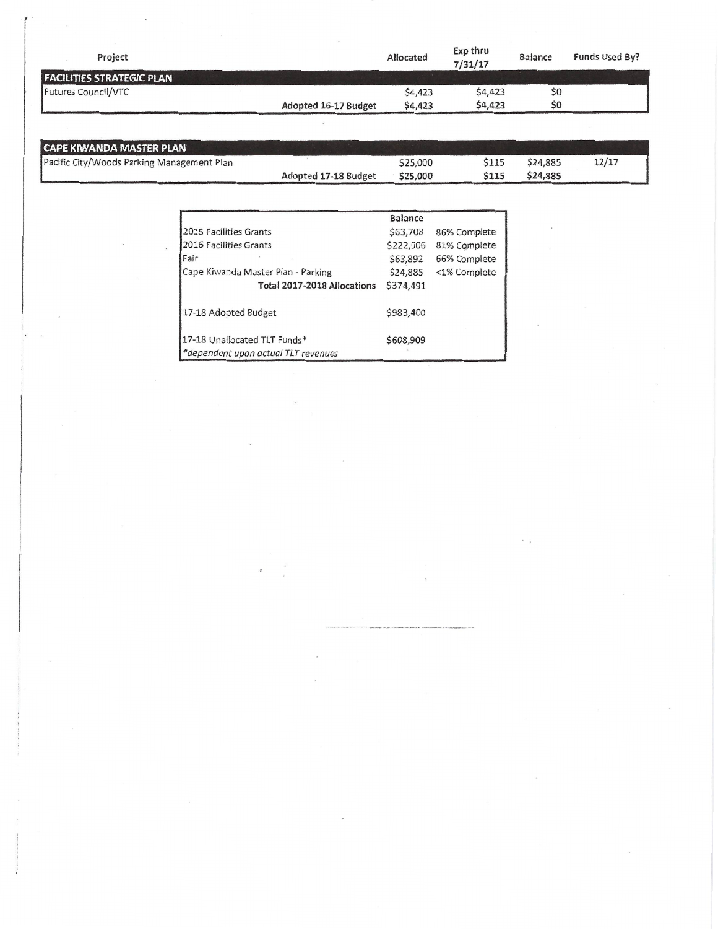| Project                          |                      | Allocated | Exp thru<br>7/31/17 | <b>Balance</b> | Funds Used By? |
|----------------------------------|----------------------|-----------|---------------------|----------------|----------------|
| <b>FACILITIES STRATEGIC PLAN</b> |                      |           |                     |                |                |
| Futures Council/VTC              |                      | \$4,423   | \$4,423             | \$0            |                |
|                                  | Adopted 16-17 Budget | \$4,423   | \$4,423             | \$0            |                |
|                                  |                      |           |                     |                |                |

 $\mathcal{F}=\frac{1}{2} \mathcal{F}(\mathcal{F})$ 

 $\mathbf{z}$ 

 $\lambda$ 

 $\overline{\mathcal{M}}$ 

 $\mathcal{L}^{\mathcal{L}}$  .

| CAPE KIWANDA MASTER PLAN                   |                      |          |             |          |       |
|--------------------------------------------|----------------------|----------|-------------|----------|-------|
| Pacific City/Woods Parking Management Plan |                      | \$25,000 | \$115       | \$24,885 | 12/17 |
|                                            | Adopted 17-18 Budget | \$25,000 | <b>S115</b> | \$24,885 |       |

|                                     | <b>Balance</b> |              |
|-------------------------------------|----------------|--------------|
| 2015 Facilities Grants              | \$63,708       | 86% Complete |
| 2016 Facilities Grants              | \$222,006      | 81% Complete |
| Fair                                | \$63,892       | 66% Complete |
| Cape Kiwanda Master Plan - Parking  | \$24,885       | <1% Complete |
| Total 2017-2018 Allocations         | \$374,491      |              |
| 17-18 Adopted Budget                | \$983,400      |              |
| 17-18 Unallocated TLT Funds*        | \$608,909      |              |
| *dependent upon actual TLT revenues |                |              |

 $\bar{z}$ 

 $\bar{\rm s}$ 

 $\overline{\phantom{a}}$ 

 $\label{eq:2.1} \begin{array}{cc} \hat{a}_1 & \hat{a}_2 \\ \hat{a}_3 & \hat{a}_4 \end{array}$  $\mathcal{L}$ 

 $\mathbf{z}$ 

 $\lambda$ 

 $\infty$ 

 $\epsilon$ 

 $\sim$   $\mu$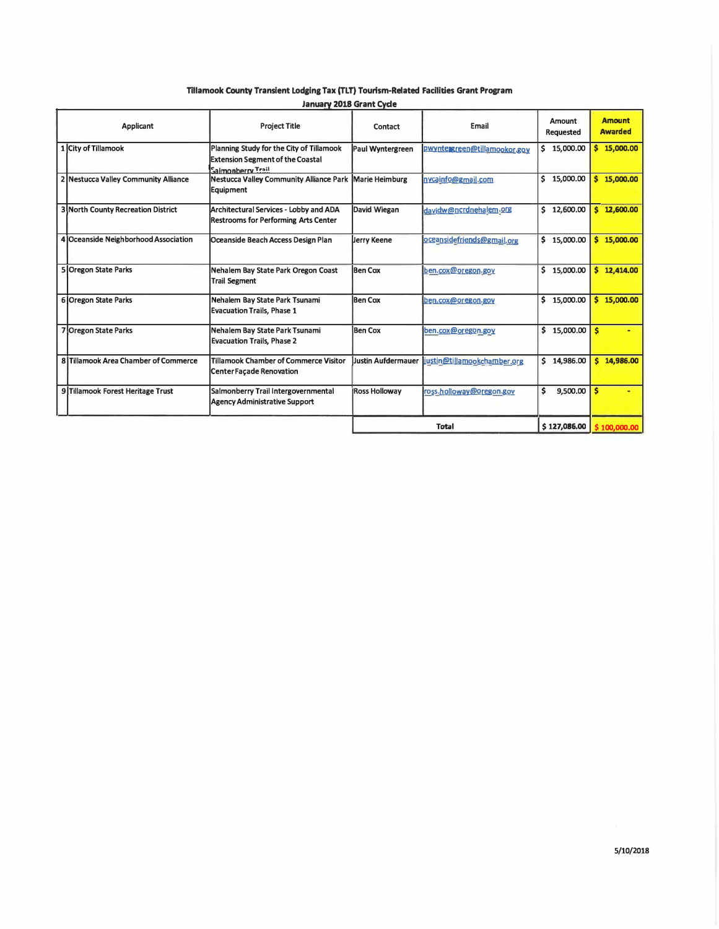Tillamook County Transient Lodging Tax (TLT) Tourism-Related Facilities Grant Program

|                                           | <b>January 2018 Grant Cycle</b>                                                                          |                           |                              |                     |                                 |
|-------------------------------------------|----------------------------------------------------------------------------------------------------------|---------------------------|------------------------------|---------------------|---------------------------------|
| Applicant                                 | <b>Project Title</b>                                                                                     | Contact                   | Email                        | Amount<br>Requested | <b>Amount</b><br><b>Awarded</b> |
| 1 City of Tillamook                       | Planning Study for the City of Tillamook<br><b>Extension Segment of the Coastal</b><br>Salmonberry Trail | Paul Wyntergreen          | pwyntergreen@tillamookor.gov | \$15,000.00         | \$15,000.00                     |
| 2 Nestucca Valley Community Alliance      | Nestucca Valley Community Alliance Park Marie Heimburg<br>Equipment                                      |                           | nycainfo@gmail.com           | \$<br>15,000.00     | \$15,000.00                     |
| <b>3 North County Recreation District</b> | Architectural Services - Lobby and ADA<br><b>Restrooms for Performing Arts Center</b>                    | David Wiegan              | davidw@ncrdnehalem.org       | \$12,600.00         | \$12,600.00                     |
| 4 Oceanside Neighborhood Association      | Oceanside Beach Access Design Plan                                                                       | <b>Jerry Keene</b>        | oceansidefriends@gmail.org   | \$15,000.00         | \$15,000.00                     |
| <b>5 Oregon State Parks</b>               | Nehalem Bay State Park Oregon Coast<br><b>Trail Segment</b>                                              | <b>Ben Cox</b>            | ben.cox@oregon.gov           | \$15,000.00         | \$12,414.00                     |
| 6 Oregon State Parks                      | Nehalem Bay State Park Tsunami<br><b>Evacuation Trails, Phase 1</b>                                      | <b>Ben Cox</b>            | ben.cox@oregon.gov           | \$15,000.00         | \$15,000.00                     |
| <b>7 Oregon State Parks</b>               | Nehalem Bay State Park Tsunami<br><b>Evacuation Trails, Phase 2</b>                                      | <b>Ben Cox</b>            | ben.cox@oregon.gov           | \$15,000.00         | Ŝ                               |
| 8 Tillamook Area Chamber of Commerce      | Tillamook Chamber of Commerce Visitor<br><b>Center Façade Renovation</b>                                 | <b>Justin Aufdermauer</b> | justin@tillamookchamber.org  | \$14,986.00         | \$14,986.00                     |
| 9 Tillamook Forest Heritage Trust         | Salmonberry Trail Intergovernmental<br><b>Agency Administrative Support</b>                              | <b>Ross Holloway</b>      | ross.holloway@oregon.gov     | \$<br>9,500.00      | Ŝ                               |
|                                           |                                                                                                          | <b>Total</b>              |                              | \$127,086.00        | \$100,000.00                    |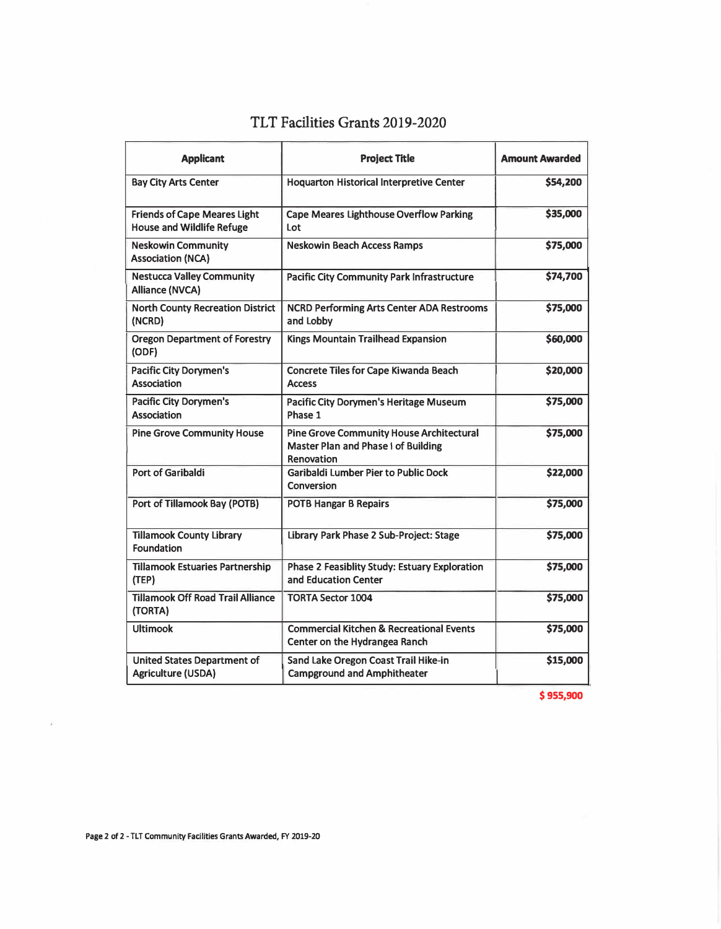| <b>Applicant</b>                                                        | <b>Project Title</b>                                                                                        | <b>Amount Awarded</b> |
|-------------------------------------------------------------------------|-------------------------------------------------------------------------------------------------------------|-----------------------|
| <b>Bay City Arts Center</b>                                             | <b>Hoquarton Historical Interpretive Center</b>                                                             | \$54,200              |
| <b>Friends of Cape Meares Light</b><br><b>House and Wildlife Refuge</b> | <b>Cape Meares Lighthouse Overflow Parking</b><br>Lot                                                       | \$35,000              |
| <b>Neskowin Community</b><br><b>Association (NCA)</b>                   | <b>Neskowin Beach Access Ramps</b>                                                                          | \$75,000              |
| <b>Nestucca Valley Community</b><br><b>Alliance (NVCA)</b>              | <b>Pacific City Community Park Infrastructure</b>                                                           | \$74,700              |
| <b>North County Recreation District</b><br>(NCRD)                       | <b>NCRD Performing Arts Center ADA Restrooms</b><br>and Lobby                                               | \$75,000              |
| <b>Oregon Department of Forestry</b><br>(ODF)                           | Kings Mountain Trailhead Expansion                                                                          | \$60,000              |
| <b>Pacific City Dorymen's</b><br><b>Association</b>                     | <b>Concrete Tiles for Cape Kiwanda Beach</b><br><b>Access</b>                                               | \$20,000              |
| <b>Pacific City Dorymen's</b><br><b>Association</b>                     | <b>Pacific City Dorymen's Heritage Museum</b><br>Phase 1                                                    | \$75,000              |
| <b>Pine Grove Community House</b>                                       | <b>Pine Grove Community House Architectural</b><br><b>Master Plan and Phase I of Building</b><br>Renovation | \$75,000              |
| Port of Garibaldi                                                       | <b>Garibaldi Lumber Pier to Public Dock</b><br>Conversion                                                   | \$22,000              |
| Port of Tillamook Bay (POTB)                                            | <b>POTB Hangar B Repairs</b>                                                                                | \$75,000              |
| <b>Tillamook County Library</b><br><b>Foundation</b>                    | Library Park Phase 2 Sub-Project: Stage                                                                     | \$75,000              |
| <b>Tillamook Estuaries Partnership</b><br>(TEP)                         | Phase 2 Feasiblity Study: Estuary Exploration<br>and Education Center                                       | \$75,000              |
| <b>Tillamook Off Road Trail Alliance</b><br>(TORTA)                     | <b>TORTA Sector 1004</b>                                                                                    | \$75,000              |
| <b>Ultimook</b>                                                         | <b>Commercial Kitchen &amp; Recreational Events</b><br>Center on the Hydrangea Ranch                        | \$75,000              |
| United States Department of<br>Agriculture (USDA)                       | Sand Lake Oregon Coast Trail Hike-in<br><b>Campground and Amphitheater</b>                                  | \$15,000              |

# **TLT Facilities Grants 2019-2020**

**\$ 955,900**